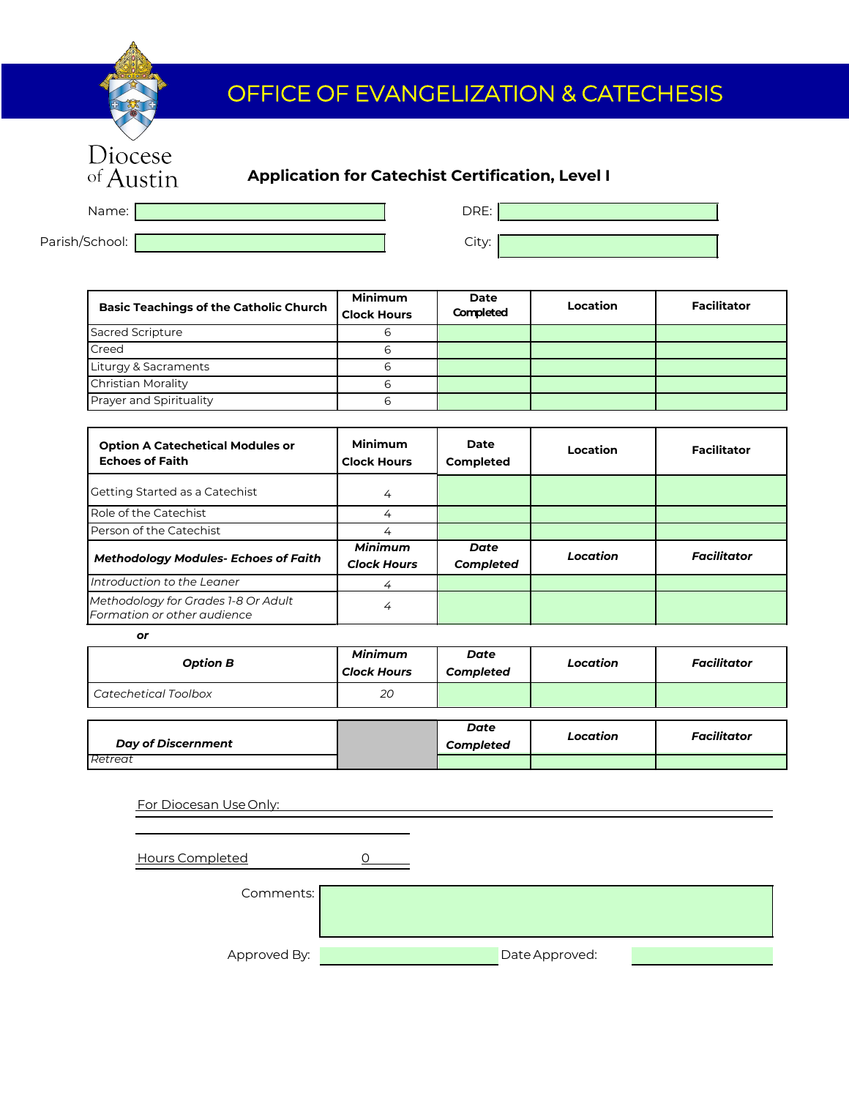## OFFICE OF EVANGELIZATION & CATECHESIS

Name: DRE:

Diocese<br>of Austin

Parish/School: City:

**Basic Teachings of the Catholic Church Minimum Clock Hours Date Completed Location Facilitator**  Sacred Scripture 6 Creed 6 Liturgy & Sacraments 6 Christian Morality 6 Prayer and Spirituality 6

| <b>Option A Catechetical Modules or</b><br><b>Echoes of Faith</b>  | Minimum<br><b>Clock Hours</b>        | Date<br><b>Completed</b>        | Location | <b>Facilitator</b> |
|--------------------------------------------------------------------|--------------------------------------|---------------------------------|----------|--------------------|
| Getting Started as a Catechist                                     | 4                                    |                                 |          |                    |
| Role of the Catechist                                              | 4                                    |                                 |          |                    |
| Person of the Catechist                                            |                                      |                                 |          |                    |
| <b>Methodology Modules- Echoes of Faith</b>                        | <b>Minimum</b><br><b>Clock Hours</b> | <b>Date</b><br><b>Completed</b> | Location | <b>Facilitator</b> |
| Introduction to the Leaner                                         | 4                                    |                                 |          |                    |
| Methodology for Grades 1-8 Or Adult<br>Formation or other audience | 4                                    |                                 |          |                    |

*or* 

| <b>Option B</b>                      | <b>Minimum</b><br><b>Clock Hours</b> | Date<br><b>Completed</b> | Location | <b>Facilitator</b> |
|--------------------------------------|--------------------------------------|--------------------------|----------|--------------------|
| <b>Catechetical Toolbox</b>          | 20                                   |                          |          |                    |
| <b>Day of Discernment</b><br>Retreat |                                      | Date<br><b>Completed</b> | Location | <b>Facilitator</b> |

| For Diocesan Use Only: |  |                |  |
|------------------------|--|----------------|--|
| <b>Hours Completed</b> |  |                |  |
| Comments:              |  |                |  |
| Approved By:           |  | Date Approved: |  |